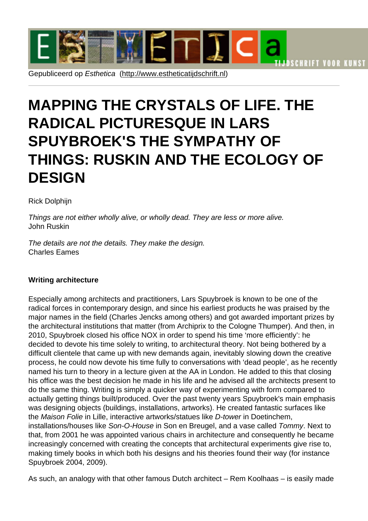## MAPPING TH[E CRYSTALS O](http://www.estheticatijdschrift.nl)F LIFE. THE RADICAL PICTURESQUE IN LARS SPUYBROEK'S THE SYMPATHY OF THINGS: RUSKIN AND THE ECOLOGY OF **DESIGN**

Rick Dolphijn

Things are not either wholly alive, or wholly dead. They are less or more alive. John Ruskin

The details are not the details. They make the design. Charles Eames

Writing architecture

Especially among architects and practitioners, Lars Spuybroek is known to be one of the radical forces in contemporary design, and since his earliest products he was praised by the major names in the field (Charles Jencks among others) and got awarded important prizes by the architectural institutions that matter (from Archiprix to the Cologne Thumper). And then, in 2010, Spuybroek closed his office NOX in order to spend his time 'more efficiently': he decided to devote his time solely to writing, to architectural theory. Not being bothered by a difficult clientele that came up with new demands again, inevitably slowing down the creative process, he could now devote his time fully to conversations with 'dead people', as he recently named his turn to theory in a lecture given at the AA in London. He added to this that closing his office was the best decision he made in his life and he advised all the architects present to do the same thing. Writing is simply a quicker way of experimenting with form compared to actually getting things built/produced. Over the past twenty years Spuybroek's main emphasis was designing objects (buildings, installations, artworks). He created fantastic surfaces like the Maison Folie in Lille, interactive artworks/statues like D-tower in Doetinchem, installations/houses like Son-O-House in Son en Breugel, and a vase called Tommy. Next to that, from 2001 he was appointed various chairs in architecture and consequently he became increasingly concerned with creating the concepts that architectural experiments give rise to, making timely books in which both his designs and his theories found their way (for instance Spuybroek 2004, 2009).

As such, an analogy with that other famous Dutch architect – Rem Koolhaas – is easily made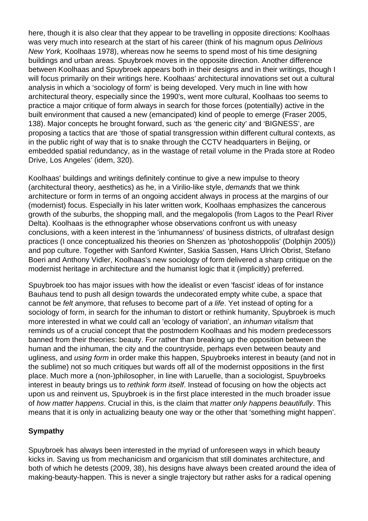here, though it is also clear that they appear to be travelling in opposite directions: Koolhaas was very much into research at the start of his career (think of his magnum opus Delirious New York, Koolhaas 1978), whereas now he seems to spend most of his time designing buildings and urban areas. Spuybroek moves in the opposite direction. Another difference between Koolhaas and Spuybroek appears both in their designs and in their writings, though I will focus primarily on their writings here. Koolhaas' architectural innovations set out a cultural analysis in which a 'sociology of form' is being developed. Very much in line with how architectural theory, especially since the 1990's, went more cultural, Koolhaas too seems to practice a major critique of form always in search for those forces (potentially) active in the built environment that caused a new (emancipated) kind of people to emerge (Fraser 2005, 138). Major concepts he brought forward, such as 'the generic city' and 'BIGNESS', are proposing a tactics that are 'those of spatial transgression within different cultural contexts, as in the public right of way that is to snake through the CCTV headquarters in Beijing, or embedded spatial redundancy, as in the wastage of retail volume in the Prada store at Rodeo Drive, Los Angeles' (idem, 320).

Koolhaas' buildings and writings definitely continue to give a new impulse to theory (architectural theory, aesthetics) as he, in a Virilio-like style, demands that we think architecture or form in terms of an ongoing accident always in process at the margins of our (modernist) focus. Especially in his later written work, Koolhaas emphasizes the cancerous growth of the suburbs, the shopping mall, and the megalopolis (from Lagos to the Pearl River Delta). Koolhaas is the ethnographer whose observations confront us with uneasy conclusions, with a keen interest in the 'inhumanness' of business districts, of ultrafast design practices (I once conceptualized his theories on Shenzen as 'photoshoppolis' (Dolphijn 2005)) and pop culture. Together with Sanford Kwinter, Saskia Sassen, Hans Ulrich Obrist, Stefano Boeri and Anthony Vidler, Koolhaas's new sociology of form delivered a sharp critique on the modernist heritage in architecture and the humanist logic that it (implicitly) preferred.

Spuybroek too has major issues with how the idealist or even 'fascist' ideas of for instance Bauhaus tend to push all design towards the undecorated empty white cube, a space that cannot be felt anymore, that refuses to become part of a life. Yet instead of opting for a sociology of form, in search for the inhuman to distort or rethink humanity, Spuybroek is much more interested in what we could call an 'ecology of variation', an inhuman vitalism that reminds us of a crucial concept that the postmodern Koolhaas and his modern predecessors banned from their theories: beauty. For rather than breaking up the opposition between the human and the inhuman, the city and the countryside, perhaps even between beauty and ugliness, and using form in order make this happen, Spuybroeks interest in beauty (and not in the sublime) not so much critiques but wards off all of the modernist oppositions in the first place. Much more a (non-)philosopher, in line with Laruelle, than a sociologist, Spuybroeks interest in beauty brings us to rethink form itself. Instead of focusing on how the objects act upon us and reinvent us, Spuybroek is in the first place interested in the much broader issue of how matter happens. Crucial in this, is the claim that matter only happens beautifully. This means that it is only in actualizing beauty one way or the other that 'something might happen'.

## **Sympathy**

Spuybroek has always been interested in the myriad of unforeseen ways in which beauty kicks in. Saving us from mechanicism and organicism that still dominates architecture, and both of which he detests (2009, 38), his designs have always been created around the idea of making-beauty-happen. This is never a single trajectory but rather asks for a radical opening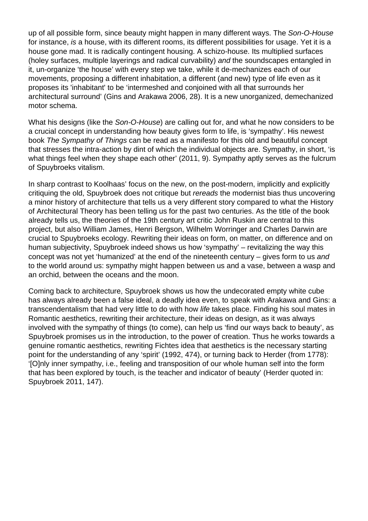up of all possible form, since beauty might happen in many different ways. The Son-O-House for instance, is a house, with its different rooms, its different possibilities for usage. Yet it is a house gone mad. It is radically contingent housing. A schizo-house. Its multiplied surfaces (holey surfaces, multiple layerings and radical curvability) and the soundscapes entangled in it, un-organize 'the house' with every step we take, while it de-mechanizes each of our movements, proposing a different inhabitation, a different (and new) type of life even as it proposes its 'inhabitant' to be 'intermeshed and conjoined with all that surrounds her architectural surround' (Gins and Arakawa 2006, 28). It is a new unorganized, demechanized motor schema.

What his designs (like the Son-O-House) are calling out for, and what he now considers to be a crucial concept in understanding how beauty gives form to life, is 'sympathy'. His newest book The Sympathy of Things can be read as a manifesto for this old and beautiful concept that stresses the intra-action by dint of which the individual objects are. Sympathy, in short, 'is what things feel when they shape each other' (2011, 9). Sympathy aptly serves as the fulcrum of Spuybroeks vitalism.

In sharp contrast to Koolhaas' focus on the new, on the post-modern, implicitly and explicitly critiquing the old, Spuybroek does not critique but rereads the modernist bias thus uncovering a minor history of architecture that tells us a very different story compared to what the History of Architectural Theory has been telling us for the past two centuries. As the title of the book already tells us, the theories of the 19th century art critic John Ruskin are central to this project, but also William James, Henri Bergson, Wilhelm Worringer and Charles Darwin are crucial to Spuybroeks ecology. Rewriting their ideas on form, on matter, on difference and on human subjectivity, Spuybroek indeed shows us how 'sympathy' – revitalizing the way this concept was not yet 'humanized' at the end of the nineteenth century – gives form to us and to the world around us: sympathy might happen between us and a vase, between a wasp and an orchid, between the oceans and the moon.

Coming back to architecture, Spuybroek shows us how the undecorated empty white cube has always already been a false ideal, a deadly idea even, to speak with Arakawa and Gins: a transcendentalism that had very little to do with how life takes place. Finding his soul mates in Romantic aesthetics, rewriting their architecture, their ideas on design, as it was always involved with the sympathy of things (to come), can help us 'find our ways back to beauty', as Spuybroek promises us in the introduction, to the power of creation. Thus he works towards a genuine romantic aesthetics, rewriting Fichtes idea that aesthetics is the necessary starting point for the understanding of any 'spirit' (1992, 474), or turning back to Herder (from 1778): '[O]nly inner sympathy, i.e., feeling and transposition of our whole human self into the form that has been explored by touch, is the teacher and indicator of beauty' (Herder quoted in: Spuybroek 2011, 147).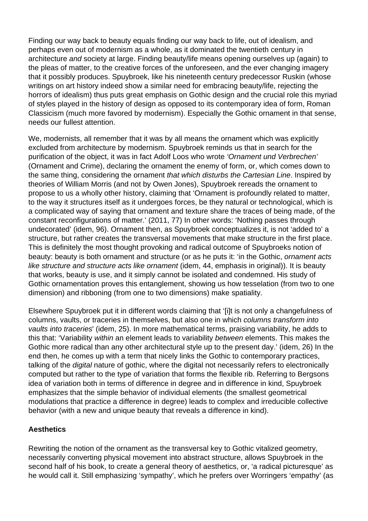Finding our way back to beauty equals finding our way back to life, out of idealism, and perhaps even out of modernism as a whole, as it dominated the twentieth century in architecture and society at large. Finding beauty/life means opening ourselves up (again) to the pleas of matter, to the creative forces of the unforeseen, and the ever changing imagery that it possibly produces. Spuybroek, like his nineteenth century predecessor Ruskin (whose writings on art history indeed show a similar need for embracing beauty/life, rejecting the horrors of idealism) thus puts great emphasis on Gothic design and the crucial role this myriad of styles played in the history of design as opposed to its contemporary idea of form, Roman Classicism (much more favored by modernism). Especially the Gothic ornament in that sense, needs our fullest attention.

We, modernists, all remember that it was by all means the ornament which was explicitly excluded from architecture by modernism. Spuybroek reminds us that in search for the purification of the object, it was in fact Adolf Loos who wrote 'Ornament und Verbrechen' (Ornament and Crime), declaring the ornament the enemy of form, or, which comes down to the same thing, considering the ornament that which disturbs the Cartesian Line. Inspired by theories of William Morris (and not by Owen Jones), Spuybroek rereads the ornament to propose to us a wholly other history, claiming that 'Ornament is profoundly related to matter, to the way it structures itself as it undergoes forces, be they natural or technological, which is a complicated way of saying that ornament and texture share the traces of being made, of the constant reconfigurations of matter.' (2011, 77) In other words: 'Nothing passes through undecorated' (idem, 96). Ornament then, as Spuybroek conceptualizes it, is not 'added to' a structure, but rather creates the transversal movements that make structure in the first place. This is definitely the most thought provoking and radical outcome of Spuybroeks notion of beauty: beauty is both ornament and structure (or as he puts it: 'in the Gothic, ornament acts like structure and structure acts like ornament (idem, 44, emphasis in original)). It is beauty that works, beauty is use, and it simply cannot be isolated and condemned. His study of Gothic ornamentation proves this entanglement, showing us how tesselation (from two to one dimension) and ribboning (from one to two dimensions) make spatiality.

Elsewhere Spuybroek put it in different words claiming that '[i]t is not only a changefulness of columns, vaults, or traceries in themselves, but also one in which columns transform into vaults into traceries' (idem, 25). In more mathematical terms, praising variability, he adds to this that: 'Variability within an element leads to variability between elements. This makes the Gothic more radical than any other architectural style up to the present day.' (idem, 26) In the end then, he comes up with a term that nicely links the Gothic to contemporary practices, talking of the digital nature of gothic, where the digital not necessarily refers to electronically computed but rather to the type of variation that forms the flexible rib. Referring to Bergsons idea of variation both in terms of difference in degree and in difference in kind, Spuybroek emphasizes that the simple behavior of individual elements (the smallest geometrical modulations that practice a difference in degree) leads to complex and irreducible collective behavior (with a new and unique beauty that reveals a difference in kind).

## **Aesthetics**

Rewriting the notion of the ornament as the transversal key to Gothic vitalized geometry, necessarily converting physical movement into abstract structure, allows Spuybroek in the second half of his book, to create a general theory of aesthetics, or, 'a radical picturesque' as he would call it. Still emphasizing 'sympathy', which he prefers over Worringers 'empathy' (as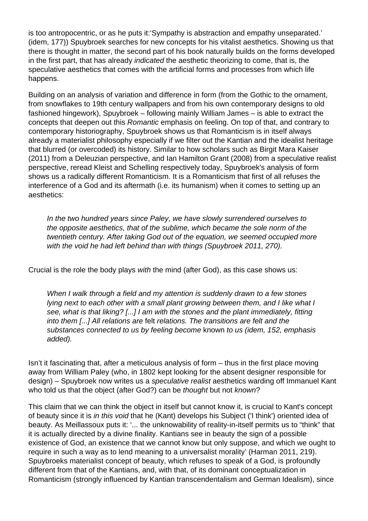is too antropocentric, or as he puts it:'Sympathy is abstraction and empathy unseparated.' (idem, 177)) Spuybroek searches for new concepts for his vitalist aesthetics. Showing us that there is thought in matter, the second part of his book naturally builds on the forms developed in the first part, that has already indicated the aesthetic theorizing to come, that is, the speculative aesthetics that comes with the artificial forms and processes from which life happens.

Building on an analysis of variation and difference in form (from the Gothic to the ornament, from snowflakes to 19th century wallpapers and from his own contemporary designs to old fashioned hingework), Spuybroek – following mainly William James – is able to extract the concepts that deepen out this Romantic emphasis on feeling. On top of that, and contrary to contemporary historiography, Spuybroek shows us that Romanticism is in itself always already a materialist philosophy especially if we filter out the Kantian and the idealist heritage that blurred (or overcoded) its history. Similar to how scholars such as Birgit Mara Kaiser (2011) from a Deleuzian perspective, and Ian Hamilton Grant (2008) from a speculative realist perspective, reread Kleist and Schelling respectively today, Spuybroek's analysis of form shows us a radically different Romanticism. It is a Romanticism that first of all refuses the interference of a God and its aftermath (i.e. its humanism) when it comes to setting up an aesthetics:

In the two hundred years since Paley, we have slowly surrendered ourselves to the opposite aesthetics, that of the sublime, which became the sole norm of the twentieth century. After taking God out of the equation, we seemed occupied more with the void he had left behind than with things (Spuybroek 2011, 270).

Crucial is the role the body plays with the mind (after God), as this case shows us:

When I walk through a field and my attention is suddenly drawn to a few stones lying next to each other with a small plant growing between them, and I like what I see, what is that liking? [...] I am with the stones and the plant immediately, fitting into them [...] All relations are felt relations. The transitions are felt and the substances connected to us by feeling become known to us (idem, 152, emphasis added).

Isn't it fascinating that, after a meticulous analysis of form – thus in the first place moving away from William Paley (who, in 1802 kept looking for the absent designer responsible for design) – Spuybroek now writes us a speculative realist aesthetics warding off Immanuel Kant who told us that the object (after God?) can be thought but not known?

This claim that we can think the object in itself but cannot know it, is crucial to Kant's concept of beauty since it is in this void that he (Kant) develops his Subject ('I think') oriented idea of beauty. As Meillassoux puts it: '... the unknowability of reality-in-itself permits us to "think" that it is actually directed by a divine finality. Kantians see in beauty the sign of a possible existence of God, an existence that we cannot know but only suppose, and which we ought to require in such a way as to lend meaning to a universalist morality' (Harman 2011, 219). Spuybroeks materialist concept of beauty, which refuses to speak of a God, is profoundly different from that of the Kantians, and, with that, of its dominant conceptualization in Romanticism (strongly influenced by Kantian transcendentalism and German Idealism), since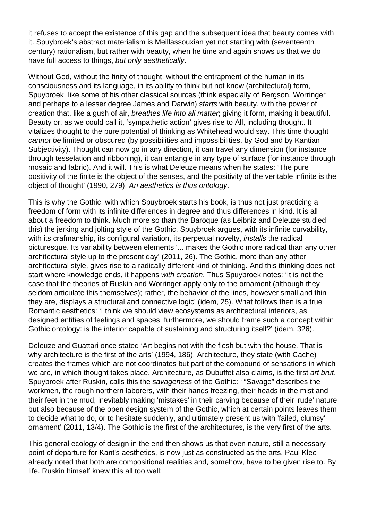it refuses to accept the existence of this gap and the subsequent idea that beauty comes with it. Spuybroek's abstract materialism is Meillassouxian yet not starting with (seventeenth century) rationalism, but rather with beauty, when he time and again shows us that we do have full access to things, but only aesthetically.

Without God, without the finity of thought, without the entrapment of the human in its consciousness and its language, in its ability to think but not know (architectural) form, Spuybroek, like some of his other classical sources (think especially of Bergson, Worringer and perhaps to a lesser degree James and Darwin) starts with beauty, with the power of creation that, like a gush of air, breathes life into all matter; giving it form, making it beautiful. Beauty or, as we could call it, 'sympathetic action' gives rise to All, including thought. It vitalizes thought to the pure potential of thinking as Whitehead would say. This time thought cannot be limited or obscured (by possibilities and impossibilities, by God and by Kantian Subjectivity). Thought can now go in any direction, it can travel any dimension (for instance through tesselation and ribboning), it can entangle in any type of surface (for instance through mosaic and fabric). And it will. This is what Deleuze means when he states: 'The pure positivity of the finite is the object of the senses, and the positivity of the veritable infinite is the object of thought' (1990, 279). An aesthetics is thus ontology.

This is why the Gothic, with which Spuybroek starts his book, is thus not just practicing a freedom of form with its infinite differences in degree and thus differences in kind. It is all about a freedom to think. Much more so than the Baroque (as Leibniz and Deleuze studied this) the jerking and jolting style of the Gothic, Spuybroek argues, with its infinite curvability, with its crafmanship, its configural variation, its perpetual novelty, *installs* the radical picturesque. Its variability between elements '... makes the Gothic more radical than any other architectural style up to the present day' (2011, 26). The Gothic, more than any other architectural style, gives rise to a radically different kind of thinking. And this thinking does not start where knowledge ends, it happens with creation. Thus Spuybroek notes: 'It is not the case that the theories of Ruskin and Worringer apply only to the ornament (although they seldom articulate this themselves); rather, the behavior of the lines, however small and thin they are, displays a structural and connective logic' (idem, 25). What follows then is a true Romantic aesthetics: 'I think we should view ecosystems as architectural interiors, as designed entities of feelings and spaces, furthermore, we should frame such a concept within Gothic ontology: is the interior capable of sustaining and structuring itself?' (idem, 326).

Deleuze and Guattari once stated 'Art begins not with the flesh but with the house. That is why architecture is the first of the arts' (1994, 186). Architecture, they state (with Cache) creates the frames which are not coordinates but part of the compound of sensations in which we are, in which thought takes place. Architecture, as Dubuffet also claims, is the first art brut. Spuybroek after Ruskin, calls this the savageness of the Gothic: ' "Savage" describes the workmen, the rough northern laborers, with their hands freezing, their heads in the mist and their feet in the mud, inevitably making 'mistakes' in their carving because of their 'rude' nature but also because of the open design system of the Gothic, which at certain points leaves them to decide what to do, or to hesitate suddenly, and ultimately present us with 'failed, clumsy' ornament' (2011, 13/4). The Gothic is the first of the architectures, is the very first of the arts.

This general ecology of design in the end then shows us that even nature, still a necessary point of departure for Kant's aesthetics, is now just as constructed as the arts. Paul Klee already noted that both are compositional realities and, somehow, have to be given rise to. By life. Ruskin himself knew this all too well: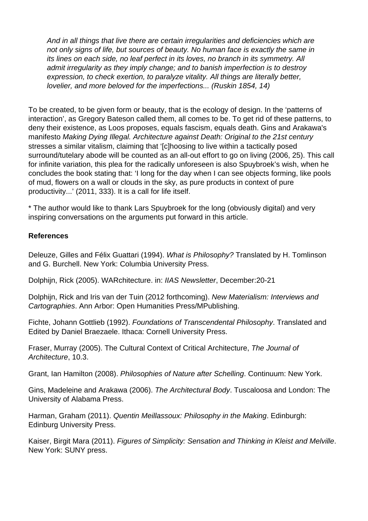And in all things that live there are certain irregularities and deficiencies which are not only signs of life, but sources of beauty. No human face is exactly the same in its lines on each side, no leaf perfect in its loves, no branch in its symmetry. All admit irregularity as they imply change; and to banish imperfection is to destroy expression, to check exertion, to paralyze vitality. All things are literally better, lovelier, and more beloved for the imperfections... (Ruskin 1854, 14)

To be created, to be given form or beauty, that is the ecology of design. In the 'patterns of interaction', as Gregory Bateson called them, all comes to be. To get rid of these patterns, to deny their existence, as Loos proposes, equals fascism, equals death. Gins and Arakawa's manifesto Making Dying Illegal. Architecture against Death: Original to the 21st century stresses a similar vitalism, claiming that '[c]hoosing to live within a tactically posed surround/tutelary abode will be counted as an all-out effort to go on living (2006, 25). This call for infinite variation, this plea for the radically unforeseen is also Spuybroek's wish, when he concludes the book stating that: 'I long for the day when I can see objects forming, like pools of mud, flowers on a wall or clouds in the sky, as pure products in context of pure productivity...' (2011, 333). It is a call for life itself.

\* The author would like to thank Lars Spuybroek for the long (obviously digital) and very inspiring conversations on the arguments put forward in this article.

## **References**

Deleuze, Gilles and Félix Guattari (1994). What is Philosophy? Translated by H. Tomlinson and G. Burchell. New York: Columbia University Press.

Dolphijn, Rick (2005). WARchitecture. in: IIAS Newsletter, December:20-21

Dolphijn, Rick and Iris van der Tuin (2012 forthcoming). New Materialism: Interviews and Cartographies. Ann Arbor: Open Humanities Press/MPublishing.

Fichte, Johann Gottlieb (1992). Foundations of Transcendental Philosophy. Translated and Edited by Daniel Braezaele. Ithaca: Cornell University Press.

Fraser, Murray (2005). The Cultural Context of Critical Architecture, The Journal of Architecture, 10.3.

Grant, Ian Hamilton (2008). Philosophies of Nature after Schelling. Continuum: New York.

Gins, Madeleine and Arakawa (2006). The Architectural Body. Tuscaloosa and London: The University of Alabama Press.

Harman, Graham (2011). Quentin Meillassoux: Philosophy in the Making. Edinburgh: Edinburg University Press.

Kaiser, Birgit Mara (2011). Figures of Simplicity: Sensation and Thinking in Kleist and Melville. New York: SUNY press.